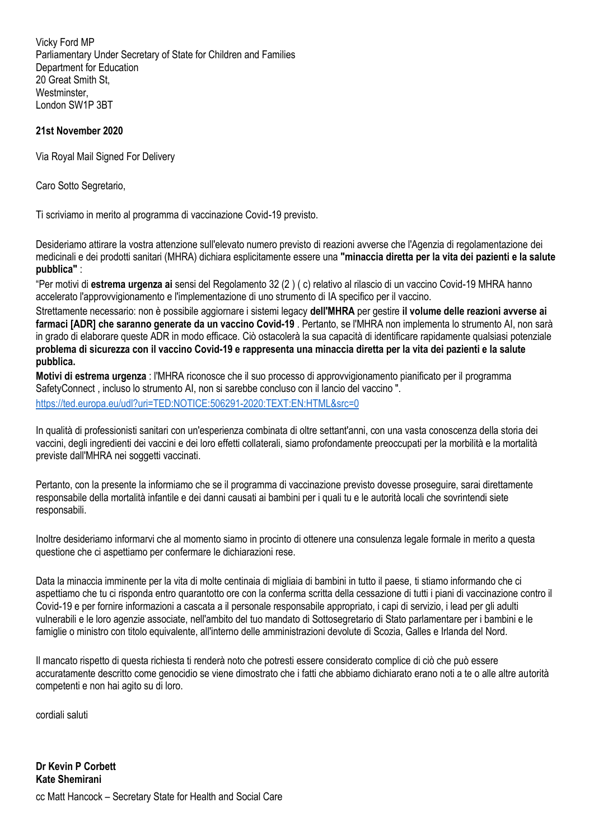Vicky Ford MP Parliamentary Under Secretary of State for Children and Families Department for Education 20 Great Smith St, Westminster, London SW1P 3BT

## **21st November 2020**

Via Royal Mail Signed For Delivery

Caro Sotto Segretario,

Ti scriviamo in merito al programma di vaccinazione Covid-19 previsto.

Desideriamo attirare la vostra attenzione sull'elevato numero previsto di reazioni avverse che l'Agenzia di regolamentazione dei medicinali e dei prodotti sanitari (MHRA) dichiara esplicitamente essere una **"minaccia diretta per la vita dei pazienti e la salute pubblica"** :

―Per motivi di **estrema urgenza ai** sensi del Regolamento 32 (2 ) ( c) relativo al rilascio di un vaccino Covid-19 MHRA hanno accelerato l'approvvigionamento e l'implementazione di uno strumento di IA specifico per il vaccino.

Strettamente necessario: non è possibile aggiornare i sistemi legacy **dell'MHRA** per gestire **il volume delle reazioni avverse ai farmaci [ADR] che saranno generate da un vaccino Covid-19** . Pertanto, se l'MHRA non implementa lo strumento AI, non sarà in grado di elaborare queste ADR in modo efficace. Ciò ostacolerà la sua capacità di identificare rapidamente qualsiasi potenziale **problema di sicurezza con il vaccino Covid-19 e rappresenta una minaccia diretta per la vita dei pazienti e la salute pubblica.**

**Motivi di estrema urgenza** : l'MHRA riconosce che il suo processo di approvvigionamento pianificato per il programma SafetyConnect , incluso lo strumento AI, non si sarebbe concluso con il lancio del vaccino ". [https://ted.europa.eu/udl?uri=TED:NOTICE:506291-2020:TEXT:EN:HTML&src=0](https://translate.google.com/translate?hl=fr&prev=_t&sl=auto&tl=it&u=https://ted.europa.eu/udl%3Furi%3DTED:NOTICE:506291-2020:TEXT:EN:HTML%26src%3D0)

In qualità di professionisti sanitari con un'esperienza combinata di oltre settant'anni, con una vasta conoscenza della storia dei vaccini, degli ingredienti dei vaccini e dei loro effetti collaterali, siamo profondamente preoccupati per la morbilità e la mortalità previste dall'MHRA nei soggetti vaccinati.

Pertanto, con la presente la informiamo che se il programma di vaccinazione previsto dovesse proseguire, sarai direttamente responsabile della mortalità infantile e dei danni causati ai bambini per i quali tu e le autorità locali che sovrintendi siete responsabili.

Inoltre desideriamo informarvi che al momento siamo in procinto di ottenere una consulenza legale formale in merito a questa questione che ci aspettiamo per confermare le dichiarazioni rese.

Data la minaccia imminente per la vita di molte centinaia di migliaia di bambini in tutto il paese, ti stiamo informando che ci aspettiamo che tu ci risponda entro quarantotto ore con la conferma scritta della cessazione di tutti i piani di vaccinazione contro il Covid-19 e per fornire informazioni a cascata a il personale responsabile appropriato, i capi di servizio, i lead per gli adulti vulnerabili e le loro agenzie associate, nell'ambito del tuo mandato di Sottosegretario di Stato parlamentare per i bambini e le famiglie o ministro con titolo equivalente, all'interno delle amministrazioni devolute di Scozia, Galles e Irlanda del Nord.

Il mancato rispetto di questa richiesta ti renderà noto che potresti essere considerato complice di ciò che può essere accuratamente descritto come genocidio se viene dimostrato che i fatti che abbiamo dichiarato erano noti a te o alle altre autorità competenti e non hai agito su di loro.

cordiali saluti